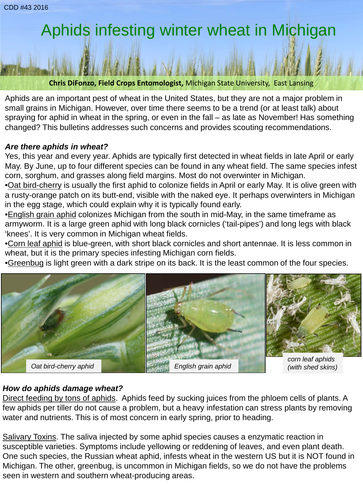# Aphids infesting winter wheat in Michigan

**Chris DiFonzo, Field Crops Entomologist,** Michigan State University, East Lansing

Aphids are an important pest of wheat in the United States, but they are not a major problem in small grains in Michigan. However, over time there seems to be a trend (or at least talk) about spraying for aphid in wheat in the spring, or even in the fall – as late as November! Has something changed? This bulletins addresses such concerns and provides scouting recommendations.

## *Are there aphids in wheat?*

Yes, this year and every year. Aphids are typically first detected in wheat fields in late April or early May. By June, up to four different species can be found in any wheat field. The same species infest corn, sorghum, and grasses along field margins. Most do not overwinter in Michigan.

•Oat bird-cherry is usually the first aphid to colonize fields in April or early May. It is olive green with a rusty-orange patch on its butt-end, visible with the naked eye. It perhaps overwinters in Michigan in the egg stage, which could explain why it is typically found early.

•English grain aphid colonizes Michigan from the south in mid-May, in the same timeframe as armyworm. It is a large green aphid with long black cornicles ('tail-pipes') and long legs with black 'knees'. It is very common in Michigan wheat fields.

•Corn leaf aphid is blue-green, with short black cornicles and short antennae. It is less common in wheat, but it is the primary species infesting Michigan corn fields.

•Greenbug is light green with a dark stripe on its back. It is the least common of the four species.



## *How do aphids damage wheat?*

Direct feeding by tons of aphids. Aphids feed by sucking juices from the phloem cells of plants. A few aphids per tiller do not cause a problem, but a heavy infestation can stress plants by removing water and nutrients. This is of most concern in early spring, prior to heading.

Salivary Toxins. The saliva injected by some aphid species causes a enzymatic reaction in susceptible varieties. Symptoms include yellowing or reddening of leaves, and even plant death. One such species, the Russian wheat aphid, infests wheat in the western US but it is NOT found in Michigan. The other, greenbug, is uncommon in Michigan fields, so we do not have the problems seen in western and southern wheat-producing areas.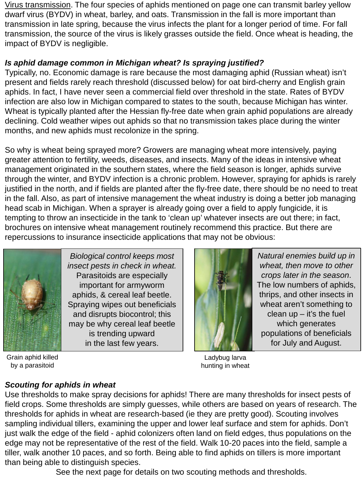Virus transmission. The four species of aphids mentioned on page one can transmit barley yellow dwarf virus (BYDV) in wheat, barley, and oats. Transmission in the fall is more important than transmission in late spring, because the virus infects the plant for a longer period of time. For fall transmission, the source of the virus is likely grasses outside the field. Once wheat is heading, the impact of BYDV is negligible.

## *Is aphid damage common in Michigan wheat? Is spraying justified?*

Typically, no. Economic damage is rare because the most damaging aphid (Russian wheat) isn't present and fields rarely reach threshold (discussed below) for oat bird-cherry and English grain aphids. In fact, I have never seen a commercial field over threshold in the state. Rates of BYDV infection are also low in Michigan compared to states to the south, because Michigan has winter. Wheat is typically planted after the Hessian fly-free date when grain aphid populations are already declining. Cold weather wipes out aphids so that no transmission takes place during the winter months, and new aphids must recolonize in the spring.

So why is wheat being sprayed more? Growers are managing wheat more intensively, paying greater attention to fertility, weeds, diseases, and insects. Many of the ideas in intensive wheat management originated in the southern states, where the field season is longer, aphids survive through the winter, and BYDV infection is a chronic problem. However, spraying for aphids is rarely justified in the north, and if fields are planted after the fly-free date, there should be no need to treat in the fall. Also, as part of intensive management the wheat industry is doing a better job managing head scab in Michigan. When a sprayer is already going over a field to apply fungicide, it is tempting to throw an insecticide in the tank to 'clean up' whatever insects are out there; in fact, brochures on intensive wheat management routinely recommend this practice. But there are repercussions to insurance insecticide applications that may not be obvious:



Grain aphid killed by a parasitoid

*Biological control keeps most insect pests in check in wheat.*  Parasitoids are especially important for armyworm aphids, & cereal leaf beetle. Spraying wipes out beneficials and disrupts biocontrol; this may be why cereal leaf beetle is trending upward in the last few years.



*Natural enemies build up in wheat, then move to other crops later in the season*. The low numbers of aphids, thrips, and other insects in wheat aren't something to clean  $up$  – it's the fuel which generates populations of beneficials for July and August.

Ladybug larva hunting in wheat

## *Scouting for aphids in wheat*

Use thresholds to make spray decisions for aphids! There are many thresholds for insect pests of field crops. Some thresholds are simply guesses, while others are based on years of research. The thresholds for aphids in wheat are research-based (ie they are pretty good). Scouting involves sampling individual tillers, examining the upper and lower leaf surface and stem for aphids. Don't just walk the edge of the field - aphid colonizers often land on field edges, thus populations on the edge may not be representative of the rest of the field. Walk 10-20 paces into the field, sample a tiller, walk another 10 paces, and so forth. Being able to find aphids on tillers is more important than being able to distinguish species.

See the next page for details on two scouting methods and thresholds.